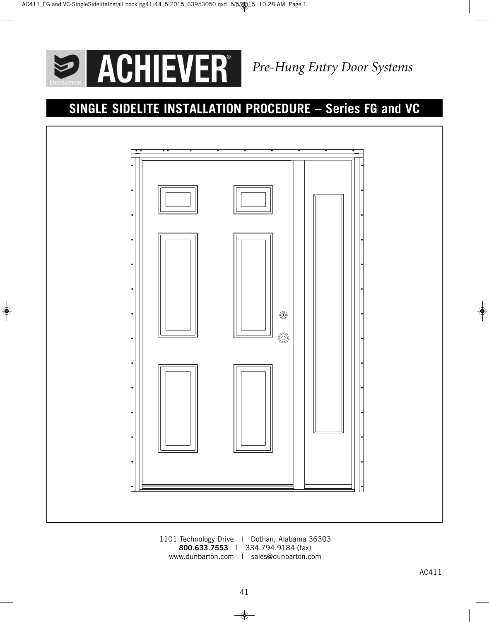

 $\Rightarrow$ 

# **SINGLE SIDELITE INSTALLATION PROCEDURE – Series FG and VC**



1101 Technology Drive I Dothan, Alabama 36303 **800.633.7553** I 334.794.9184 (fax) www.dunbarton.com I sales@dunbarton.com

 $\Rightarrow$ 

 $\overline{\phantom{a}}$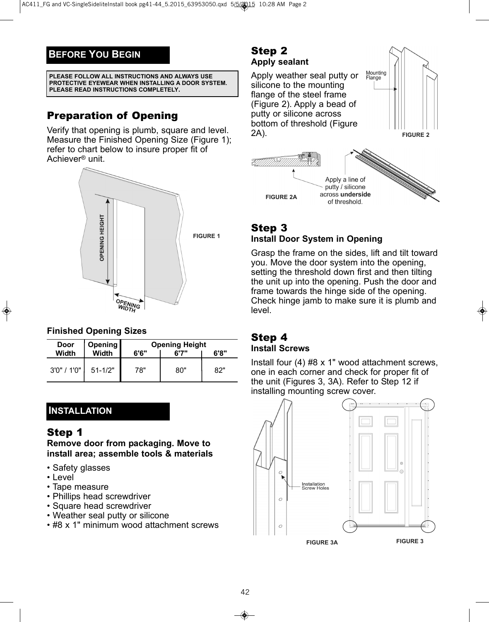## **BEFORE YOU BEGIN**

**PLEASE FOLLOW ALL INSTRUCTIONS AND ALWAYS USE PROTECTIVE EYEWEAR WHEN INSTALLING A DOOR SYSTEM. PLEASE READ INSTRUCTIONS COMPLETELY.**

# Preparation of Opening

Verify that opening is plumb, square and level. Measure the Finished Opening Size (Figure 1); refer to chart below to insure proper fit of Achiever® unit.



## **Finished Opening Sizes**

| Door           | Opening      | <b>Opening Height</b> |       |      |
|----------------|--------------|-----------------------|-------|------|
| Width          | <b>Width</b> | 6'6"                  | 6'7'' | 6'8" |
| $3'0''$ / 1'0" | $51 - 1/2"$  | 78"                   | 80"   | 82"  |

## **INSTALLATION**

## Step 1

**Remove door from packaging. Move to install area; assemble tools & materials**

- Safety glasses
- Level
- Tape measure
- Phillips head screwdriver
- Square head screwdriver
- Weather seal putty or silicone
- #8 x 1" minimum wood attachment screws

## Step 2 **Apply sealant**

Apply weather seal putty or silicone to the mounting flange of the steel frame (Figure 2). Apply a bead of putty or silicone across bottom of threshold (Figure 2A).



Mounting<br>Flange

**FIGURE 2**

### Step 3 **Install Door System in Opening**

Grasp the frame on the sides, lift and tilt toward you. Move the door system into the opening, setting the threshold down first and then tilting the unit up into the opening. Push the door and frame towards the hinge side of the opening. Check hinge jamb to make sure it is plumb and level.

## Step 4 **Install Screws**

Install four (4) #8 x 1" wood attachment screws, one in each corner and check for proper fit of the unit (Figures 3, 3A). Refer to Step 12 if installing mounting screw cover.



◈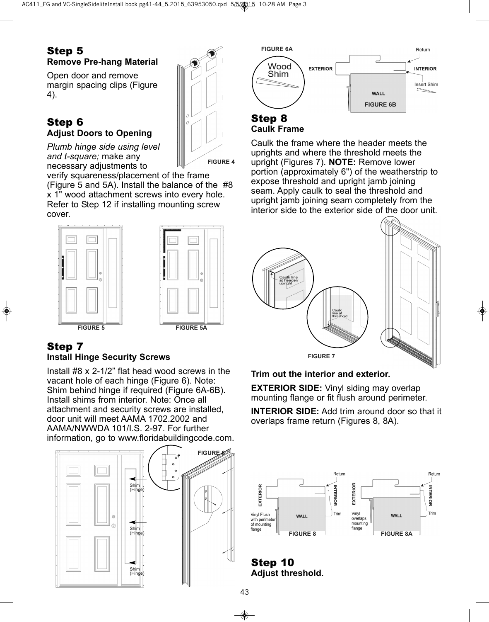## Step 5 **Remove Pre-hang Material**

Open door and remove margin spacing clips (Figure 4).

## Step 6 **Adjust Doors to Opening**

*Plumb hinge side using level and t-square;* make any necessary adjustments to

verify squareness/placement of the frame (Figure 5 and 5A). Install the balance of the #8 x 1" wood attachment screws into every hole. Refer to Step 12 if installing mounting screw cover.



## Step 7 **Install Hinge Security Screws**

Install #8 x 2-1/2" flat head wood screws in the vacant hole of each hinge (Figure 6). Note: Shim behind hinge if required (Figure 6A-6B). Install shims from interior. Note: Once all attachment and security screws are installed, door unit will meet AAMA 1702.2002 and AAMA/NWWDA 101/I.S. 2-97. For further information, go to www.floridabuildingcode.com.





### Step 8 **Caulk Frame**

**FIGURE 4**

Caulk the frame where the header meets the uprights and where the threshold meets the upright (Figures 7). **NOTE:** Remove lower portion (approximately 6") of the weatherstrip to expose threshold and upright jamb joining seam. Apply caulk to seal the threshold and upright jamb joining seam completely from the interior side to the exterior side of the door unit.



## **Trim out the interior and exterior.**

**EXTERIOR SIDE:** Vinyl siding may overlap mounting flange or fit flush around perimeter.

**INTERIOR SIDE:** Add trim around door so that it overlaps frame return (Figures 8, 8A).



Step 10 **Adjust threshold.**